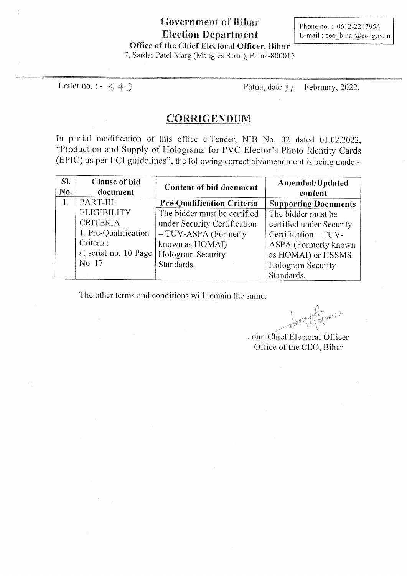### **Government of Bihar Election Department** Office of the Chief Electoral Officer, Bihar

Phone no.: 0612-2217956 E-mail: ceo bihar@eci.gov.in

7, Sardar Patel Marg (Mangles Road), Patna-800015

Letter no.:  $-549$ 

Patna, date 11 February, 2022.

### **CORRIGENDUM**

In partial modification of this office e-Tender, NIB No. 02 dated 01.02.2022, "Production and Supply of Holograms for PVC Elector's Photo Identity Cards (EPIC) as per ECI guidelines", the following correction/amendment is being made:-

| SI.<br>No. | <b>Clause of bid</b><br>document | <b>Content of bid document</b>    | Amended/Updated<br>content  |
|------------|----------------------------------|-----------------------------------|-----------------------------|
|            | PART-III:                        | <b>Pre-Qualification Criteria</b> | <b>Supporting Documents</b> |
|            | <b>ELIGIBILITY</b>               | The bidder must be certified      | The bidder must be          |
|            | <b>CRITERIA</b>                  | under Security Certification      | certified under Security    |
|            | 1. Pre-Qualification             | -TUV-ASPA (Formerly               | Certification - TUV-        |
|            | Criteria:                        | known as HOMAI)                   | ASPA (Formerly known        |
|            | at serial no. 10 Page            | <b>Hologram Security</b>          | as HOMAI) or HSSMS          |
|            | No. 17                           | Standards.                        | <b>Hologram Security</b>    |
|            |                                  |                                   | Standards.                  |

The other terms and conditions will remain the same.

 $2e^{i2}$ 

Joint Chief Electoral Officer Office of the CEO, Bihar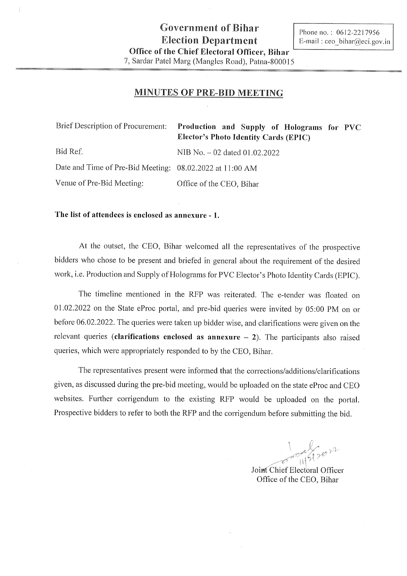#### MINUTES OF PRE-BID MEETING

| Brief Description of Procurement:                        | Production and Supply of Holograms for PVC<br><b>Elector's Photo Identity Cards (EPIC)</b> |
|----------------------------------------------------------|--------------------------------------------------------------------------------------------|
| Bid Ref.                                                 | NIB No. $-02$ dated $01.02.2022$                                                           |
| Date and Time of Pre-Bid Meeting: 08.02.2022 at 11:00 AM |                                                                                            |
| Venue of Pre-Bid Meeting:                                | Office of the CEO, Bihar                                                                   |

The list of attendees is enclosed as annexure - 1.

At the outset, the CEO, Bihar welcomed all the representatives of the prospective bidders who chose to be present and briefed in general about the requirement of the desired work, i.e. Production and Supply of Holograms for PVC Elector's Photo Identity Cards (EPIC).

The timeline mentioned in the RFP was reiterated. The e-tender was floated on 01.02.2022 on the State eProc portal, and pre-bid queries were invited by 05:00 PM on or before 06.02.2022. The queries were taken up bidder wise, and clarifications were given on the relevant queries (clarifications enclosed as annexure  $-2$ ). The participants also raised queries, which were appropriately responded to by the CEO, Bihar.

The representatives present were informed that the corrections/additions/clarifications given, as discussed during the pre-bid meeting, would be uploaded on the state eProc and CEO websites. Further corrigendum to the existing RFP would be uploaded on the portal. Prospective bidders to refer to both the RFP and the corrigendum before submitting the bid.

Thron

Joint Chief Electoral Officer Office of the CEO, Bihar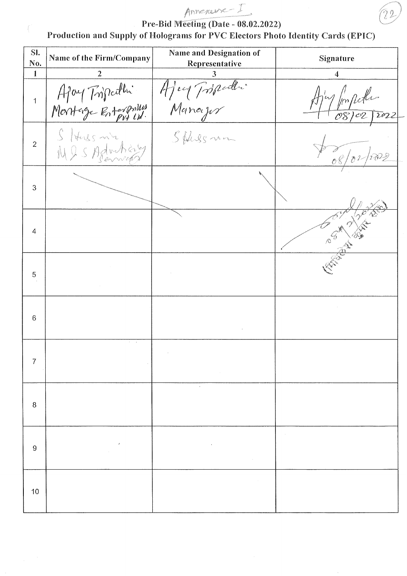# Annexause I

Pre-Bid Meeting (Date - 08.02.2022)

Production and Supply of Holograms for PVC Electors Photo Identity Cards (EPIC)

| SI.<br>No.     | Name of the Firm/Company          | Name and Designation of<br>Representative | Signature               |
|----------------|-----------------------------------|-------------------------------------------|-------------------------|
| $\mathbf{1}$   |                                   |                                           | 4                       |
| $\overline{1}$ | Apony Tripathi                    | Ajey Tripedle                             | popula<br>08/02/2022    |
| $\overline{2}$ | $S$ /thus m's<br>N & S Adoubicion | Sphesman                                  |                         |
| 3              |                                   |                                           |                         |
| $\overline{4}$ |                                   |                                           | Compared to the company |
| 5              |                                   |                                           |                         |
| 6              |                                   |                                           |                         |
| 7              | $\sim$                            |                                           |                         |
| 8              |                                   | $\cdot$                                   |                         |
| 9              |                                   |                                           |                         |
| 10             |                                   |                                           |                         |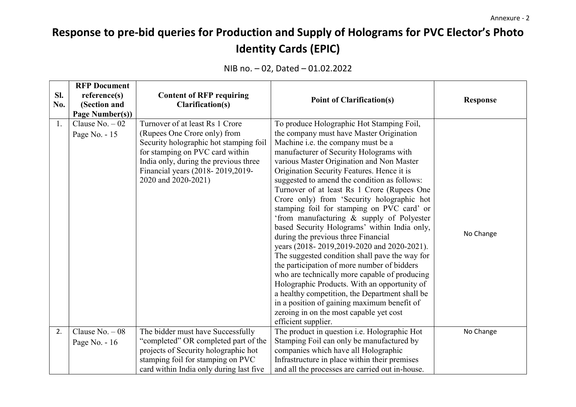## Response to pre-bid queries for Production and Supply of Holograms for PVC Elector's Photo Identity Cards (EPIC)

|     | <b>RFP Document</b> |                                         |                                                 |                 |
|-----|---------------------|-----------------------------------------|-------------------------------------------------|-----------------|
| SI. | reference(s)        | <b>Content of RFP requiring</b>         |                                                 |                 |
| No. | (Section and        | Clarification(s)                        | <b>Point of Clarification(s)</b>                | <b>Response</b> |
|     | Page Number(s))     |                                         |                                                 |                 |
| 1.  | Clause $No. - 02$   | Turnover of at least Rs 1 Crore         | To produce Holographic Hot Stamping Foil,       |                 |
|     | Page No. - 15       | (Rupees One Crore only) from            | the company must have Master Origination        |                 |
|     |                     | Security holographic hot stamping foil  | Machine i.e. the company must be a              |                 |
|     |                     | for stamping on PVC card within         | manufacturer of Security Holograms with         |                 |
|     |                     | India only, during the previous three   | various Master Origination and Non Master       |                 |
|     |                     | Financial years (2018-2019,2019-        | Origination Security Features. Hence it is      |                 |
|     |                     | 2020 and 2020-2021)                     | suggested to amend the condition as follows:    |                 |
|     |                     |                                         | Turnover of at least Rs 1 Crore (Rupees One     |                 |
|     |                     |                                         | Crore only) from 'Security holographic hot      |                 |
|     |                     |                                         | stamping foil for stamping on PVC card' or      |                 |
|     |                     |                                         | 'from manufacturing & supply of Polyester       |                 |
|     |                     |                                         | based Security Holograms' within India only,    |                 |
|     |                     |                                         | during the previous three Financial             | No Change       |
|     |                     |                                         | years (2018-2019,2019-2020 and 2020-2021).      |                 |
|     |                     |                                         | The suggested condition shall pave the way for  |                 |
|     |                     |                                         | the participation of more number of bidders     |                 |
|     |                     |                                         | who are technically more capable of producing   |                 |
|     |                     |                                         | Holographic Products. With an opportunity of    |                 |
|     |                     |                                         | a healthy competition, the Department shall be  |                 |
|     |                     |                                         | in a position of gaining maximum benefit of     |                 |
|     |                     |                                         | zeroing in on the most capable yet cost         |                 |
|     |                     |                                         | efficient supplier.                             |                 |
| 2.  | Clause No. $-08$    | The bidder must have Successfully       | The product in question i.e. Holographic Hot    | No Change       |
|     | Page No. $-16$      | "completed" OR completed part of the    | Stamping Foil can only be manufactured by       |                 |
|     |                     | projects of Security holographic hot    | companies which have all Holographic            |                 |
|     |                     | stamping foil for stamping on PVC       | Infrastructure in place within their premises   |                 |
|     |                     | card within India only during last five | and all the processes are carried out in-house. |                 |

## NIB no. – 02, Dated – 01.02.2022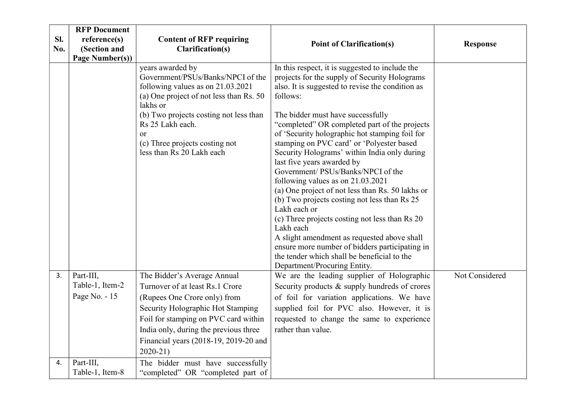|     | <b>RFP Document</b>          |                                                                |                                                                                                  |                 |
|-----|------------------------------|----------------------------------------------------------------|--------------------------------------------------------------------------------------------------|-----------------|
| Sl. | reference(s)                 | <b>Content of RFP requiring</b>                                |                                                                                                  |                 |
| No. | (Section and                 | <b>Clarification(s)</b>                                        | <b>Point of Clarification(s)</b>                                                                 | <b>Response</b> |
|     | Page Number(s))              |                                                                |                                                                                                  |                 |
|     |                              | years awarded by<br>Government/PSUs/Banks/NPCI of the          | In this respect, it is suggested to include the<br>projects for the supply of Security Holograms |                 |
|     |                              | following values as on 21.03.2021                              | also. It is suggested to revise the condition as                                                 |                 |
|     |                              | (a) One project of not less than Rs. 50<br>lakhs or            | follows:                                                                                         |                 |
|     |                              | (b) Two projects costing not less than                         | The bidder must have successfully                                                                |                 |
|     |                              | Rs 25 Lakh each.                                               | "completed" OR completed part of the projects                                                    |                 |
|     |                              | or                                                             | of 'Security holographic hot stamping foil for                                                   |                 |
|     |                              | (c) Three projects costing not                                 | stamping on PVC card' or 'Polyester based                                                        |                 |
|     |                              | less than Rs 20 Lakh each                                      | Security Holograms' within India only during                                                     |                 |
|     |                              |                                                                | last five years awarded by                                                                       |                 |
|     |                              |                                                                | Government/ PSUs/Banks/NPCI of the                                                               |                 |
|     |                              |                                                                | following values as on $21.03.2021$<br>(a) One project of not less than Rs. 50 lakhs or          |                 |
|     |                              |                                                                | (b) Two projects costing not less than Rs 25                                                     |                 |
|     |                              |                                                                | Lakh each or                                                                                     |                 |
|     |                              |                                                                | (c) Three projects costing not less than Rs 20                                                   |                 |
|     |                              |                                                                | Lakh each                                                                                        |                 |
|     |                              |                                                                | A slight amendment as requested above shall                                                      |                 |
|     |                              |                                                                | ensure more number of bidders participating in                                                   |                 |
|     |                              |                                                                | the tender which shall be beneficial to the                                                      |                 |
|     |                              |                                                                | Department/Procuring Entity.                                                                     |                 |
| 3.  | Part-III,<br>Table-1, Item-2 | The Bidder's Average Annual<br>Turnover of at least Rs.1 Crore | We are the leading supplier of Holographic                                                       | Not Considered  |
|     | Page No. - 15                |                                                                | Security products & supply hundreds of crores                                                    |                 |
|     |                              | (Rupees One Crore only) from                                   | of foil for variation applications. We have                                                      |                 |
|     |                              | Security Holographic Hot Stamping                              | supplied foil for PVC also. However, it is                                                       |                 |
|     |                              | Foil for stamping on PVC card within                           | requested to change the same to experience                                                       |                 |
|     |                              | India only, during the previous three                          | rather than value.                                                                               |                 |
|     |                              | Financial years (2018-19, 2019-20 and                          |                                                                                                  |                 |
|     |                              | $2020 - 21$                                                    |                                                                                                  |                 |
| 4.  | Part-III,                    | The bidder must have successfully                              |                                                                                                  |                 |
|     | Table-1, Item-8              | "completed" OR "completed part of                              |                                                                                                  |                 |